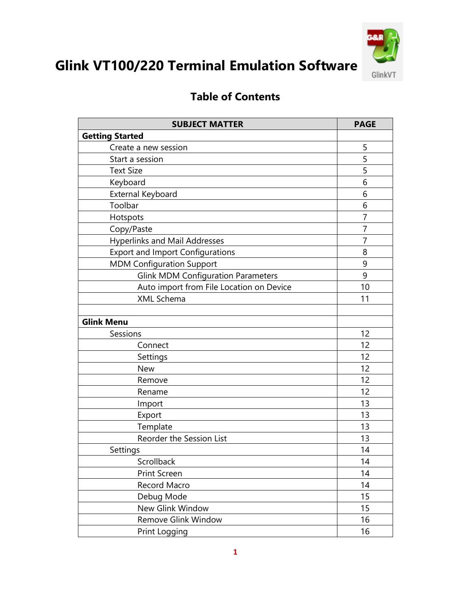

# **Glink VT100/220 Terminal Emulation Software**

## **Table of Contents**

| <b>SUBJECT MATTER</b>                     | <b>PAGE</b>    |
|-------------------------------------------|----------------|
| <b>Getting Started</b>                    |                |
| Create a new session                      | 5              |
| Start a session                           | 5              |
| <b>Text Size</b>                          | 5              |
| Keyboard                                  | 6              |
| External Keyboard                         | 6              |
| Toolbar                                   | 6              |
| Hotspots                                  | $\overline{7}$ |
| Copy/Paste                                | $\overline{7}$ |
| <b>Hyperlinks and Mail Addresses</b>      | $\overline{7}$ |
| <b>Export and Import Configurations</b>   | 8              |
| <b>MDM Configuration Support</b>          | 9              |
| <b>Glink MDM Configuration Parameters</b> | 9              |
| Auto import from File Location on Device  | 10             |
| XML Schema                                | 11             |
|                                           |                |
| <b>Glink Menu</b>                         |                |
| Sessions                                  | 12             |
| Connect                                   | 12             |
| Settings                                  | 12             |
| <b>New</b>                                | 12             |
| Remove                                    | 12             |
| Rename                                    | 12             |
| Import                                    | 13             |
| Export                                    | 13             |
| Template                                  | 13             |
| Reorder the Session List                  | 13             |
| Settings                                  | 14             |
| Scrollback                                | 14             |
| Print Screen                              | 14             |
| Record Macro                              | 14             |
| Debug Mode                                | 15             |
| New Glink Window                          | 15             |
| Remove Glink Window                       | 16             |
| Print Logging                             | 16             |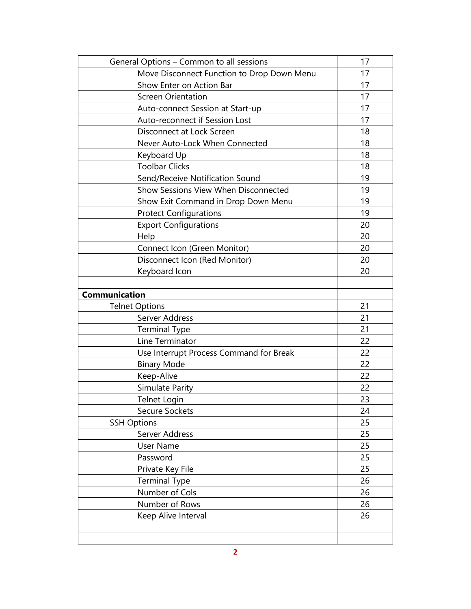| General Options - Common to all sessions   | 17 |
|--------------------------------------------|----|
| Move Disconnect Function to Drop Down Menu | 17 |
| Show Enter on Action Bar                   | 17 |
| <b>Screen Orientation</b>                  | 17 |
| Auto-connect Session at Start-up           | 17 |
| Auto-reconnect if Session Lost             | 17 |
| Disconnect at Lock Screen                  | 18 |
| Never Auto-Lock When Connected             | 18 |
| Keyboard Up                                | 18 |
| <b>Toolbar Clicks</b>                      | 18 |
| Send/Receive Notification Sound            | 19 |
| Show Sessions View When Disconnected       | 19 |
| Show Exit Command in Drop Down Menu        | 19 |
| <b>Protect Configurations</b>              | 19 |
| <b>Export Configurations</b>               | 20 |
| Help                                       | 20 |
| Connect Icon (Green Monitor)               | 20 |
| Disconnect Icon (Red Monitor)              | 20 |
| Keyboard Icon                              | 20 |
|                                            |    |
| <b>Communication</b>                       |    |
|                                            |    |
| <b>Telnet Options</b>                      | 21 |
| Server Address                             | 21 |
| <b>Terminal Type</b>                       | 21 |
| Line Terminator                            | 22 |
| Use Interrupt Process Command for Break    | 22 |
| <b>Binary Mode</b>                         | 22 |
| Keep-Alive                                 | 22 |
| Simulate Parity                            | 22 |
| <b>Telnet Login</b>                        | 23 |
| Secure Sockets                             | 24 |
| <b>SSH Options</b>                         | 25 |
| Server Address                             | 25 |
| User Name                                  | 25 |
| Password                                   | 25 |
| Private Key File                           | 25 |
| <b>Terminal Type</b>                       | 26 |
| Number of Cols                             | 26 |
| Number of Rows                             | 26 |
| Keep Alive Interval                        | 26 |
|                                            |    |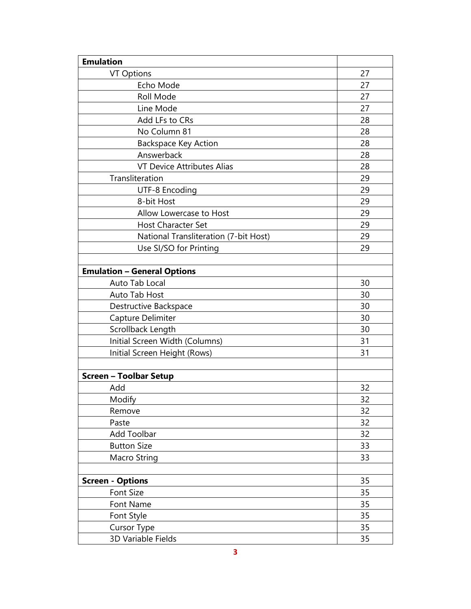| <b>Emulation</b>                      |    |
|---------------------------------------|----|
| <b>VT Options</b>                     | 27 |
| Echo Mode                             | 27 |
| Roll Mode                             | 27 |
| Line Mode                             | 27 |
| Add LFs to CRs                        | 28 |
| No Column 81                          | 28 |
| <b>Backspace Key Action</b>           | 28 |
| Answerback                            | 28 |
| VT Device Attributes Alias            | 28 |
| Transliteration                       | 29 |
| UTF-8 Encoding                        | 29 |
| 8-bit Host                            | 29 |
| Allow Lowercase to Host               | 29 |
| Host Character Set                    | 29 |
| National Transliteration (7-bit Host) | 29 |
| Use SI/SO for Printing                | 29 |
|                                       |    |
| <b>Emulation - General Options</b>    |    |
| Auto Tab Local                        | 30 |
| Auto Tab Host                         | 30 |
| Destructive Backspace                 | 30 |
| Capture Delimiter                     | 30 |
| Scrollback Length                     | 30 |
| Initial Screen Width (Columns)        | 31 |
| Initial Screen Height (Rows)          | 31 |
|                                       |    |
| <b>Screen - Toolbar Setup</b>         |    |
| Add                                   | 32 |
| Modify                                | 32 |
| Remove                                | 32 |
| Paste                                 | 32 |
| Add Toolbar                           | 32 |
| <b>Button Size</b>                    | 33 |
| Macro String                          | 33 |
|                                       |    |
| <b>Screen - Options</b>               | 35 |
| Font Size                             | 35 |
| Font Name                             | 35 |
| Font Style                            | 35 |
| <b>Cursor Type</b>                    | 35 |
| 3D Variable Fields                    | 35 |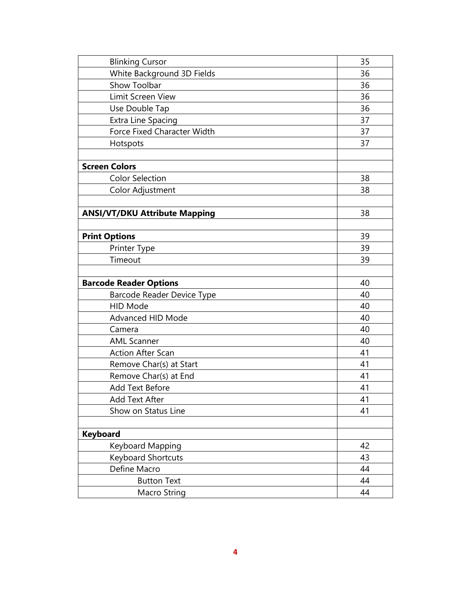| <b>Blinking Cursor</b>               | 35 |
|--------------------------------------|----|
| White Background 3D Fields           | 36 |
| Show Toolbar                         | 36 |
| Limit Screen View                    | 36 |
| Use Double Tap                       | 36 |
| <b>Extra Line Spacing</b>            | 37 |
| Force Fixed Character Width          | 37 |
| Hotspots                             | 37 |
|                                      |    |
| <b>Screen Colors</b>                 |    |
| <b>Color Selection</b>               | 38 |
| Color Adjustment                     | 38 |
|                                      |    |
| <b>ANSI/VT/DKU Attribute Mapping</b> | 38 |
|                                      |    |
| <b>Print Options</b>                 | 39 |
| Printer Type                         | 39 |
| Timeout                              | 39 |
|                                      |    |
| <b>Barcode Reader Options</b>        | 40 |
| Barcode Reader Device Type           | 40 |
| <b>HID Mode</b>                      | 40 |
| <b>Advanced HID Mode</b>             | 40 |
| Camera                               | 40 |
| <b>AML Scanner</b>                   | 40 |
| <b>Action After Scan</b>             | 41 |
| Remove Char(s) at Start              | 41 |
| Remove Char(s) at End                | 41 |
| <b>Add Text Before</b>               | 41 |
| Add Text After                       | 41 |
| Show on Status Line                  | 41 |
|                                      |    |
| <b>Keyboard</b>                      |    |
| Keyboard Mapping                     | 42 |
| Keyboard Shortcuts                   | 43 |
| Define Macro                         | 44 |
| <b>Button Text</b>                   | 44 |
| Macro String                         | 44 |
|                                      |    |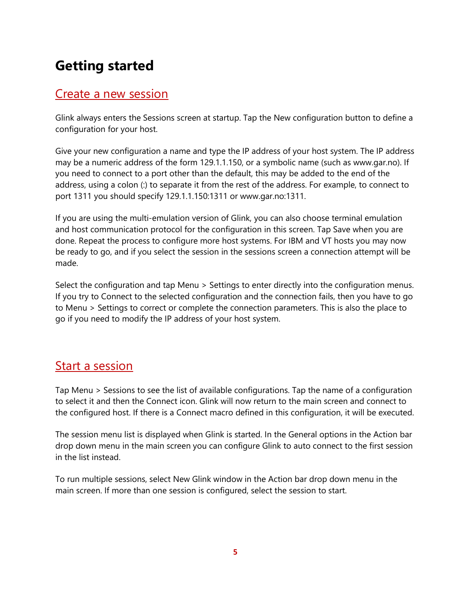# **Getting started**

### Create a new session

Glink always enters the Sessions screen at startup. Tap the New configuration button to define a configuration for your host.

Give your new configuration a name and type the IP address of your host system. The IP address may be a numeric address of the form 129.1.1.150, or a symbolic name (such as www.gar.no). If you need to connect to a port other than the default, this may be added to the end of the address, using a colon (:) to separate it from the rest of the address. For example, to connect to port 1311 you should specify 129.1.1.150:1311 or www.gar.no:1311.

If you are using the multi-emulation version of Glink, you can also choose terminal emulation and host communication protocol for the configuration in this screen. Tap Save when you are done. Repeat the process to configure more host systems. For IBM and VT hosts you may now be ready to go, and if you select the session in the sessions screen a connection attempt will be made.

Select the configuration and tap Menu > Settings to enter directly into the configuration menus. If you try to Connect to the selected configuration and the connection fails, then you have to go to Menu > Settings to correct or complete the connection parameters. This is also the place to go if you need to modify the IP address of your host system.

### Start a session

Tap Menu > Sessions to see the list of available configurations. Tap the name of a configuration to select it and then the Connect icon. Glink will now return to the main screen and connect to the configured host. If there is a Connect macro defined in this configuration, it will be executed.

The session menu list is displayed when Glink is started. In the General options in the Action bar drop down menu in the main screen you can configure Glink to auto connect to the first session in the list instead.

To run multiple sessions, select New Glink window in the Action bar drop down menu in the main screen. If more than one session is configured, select the session to start.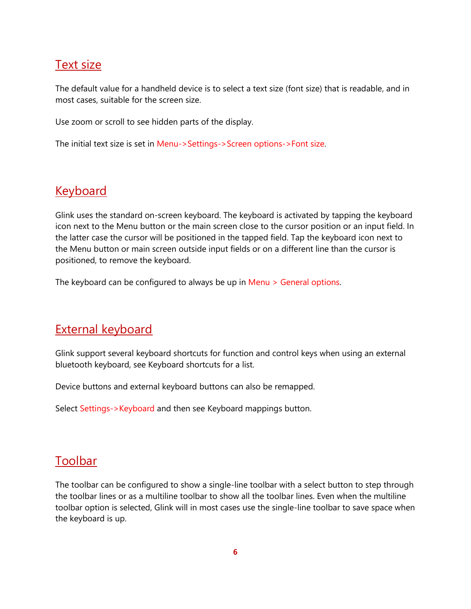## Text size

The default value for a handheld device is to select a text size (font size) that is readable, and in most cases, suitable for the screen size.

Use zoom or scroll to see hidden parts of the display.

The initial text size is set in Menu->Settings->Screen options->Font size.

## **Keyboard**

Glink uses the standard on-screen keyboard. The keyboard is activated by tapping the keyboard icon next to the Menu button or the main screen close to the cursor position or an input field. In the latter case the cursor will be positioned in the tapped field. Tap the keyboard icon next to the Menu button or main screen outside input fields or on a different line than the cursor is positioned, to remove the keyboard.

The keyboard can be configured to always be up in Menu > General options.

## External keyboard

Glink support several keyboard shortcuts for function and control keys when using an external bluetooth keyboard, see Keyboard shortcuts for a list.

Device buttons and external keyboard buttons can also be remapped.

Select Settings->Keyboard and then see Keyboard mappings button.

## Toolbar

The toolbar can be configured to show a single-line toolbar with a select button to step through the toolbar lines or as a multiline toolbar to show all the toolbar lines. Even when the multiline toolbar option is selected, Glink will in most cases use the single-line toolbar to save space when the keyboard is up.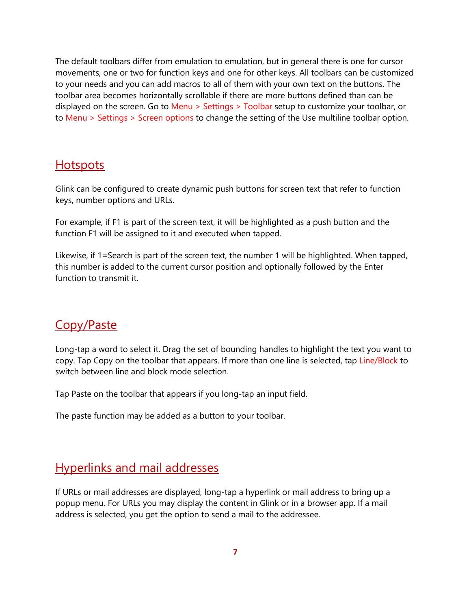The default toolbars differ from emulation to emulation, but in general there is one for cursor movements, one or two for function keys and one for other keys. All toolbars can be customized to your needs and you can add macros to all of them with your own text on the buttons. The toolbar area becomes horizontally scrollable if there are more buttons defined than can be displayed on the screen. Go to Menu > Settings > Toolbar setup to customize your toolbar, or to Menu > Settings > Screen options to change the setting of the Use multiline toolbar option.

### **Hotspots**

Glink can be configured to create dynamic push buttons for screen text that refer to function keys, number options and URLs.

For example, if F1 is part of the screen text, it will be highlighted as a push button and the function F1 will be assigned to it and executed when tapped.

Likewise, if 1=Search is part of the screen text, the number 1 will be highlighted. When tapped, this number is added to the current cursor position and optionally followed by the Enter function to transmit it.

## Copy/Paste

Long-tap a word to select it. Drag the set of bounding handles to highlight the text you want to copy. Tap Copy on the toolbar that appears. If more than one line is selected, tap Line/Block to switch between line and block mode selection.

Tap Paste on the toolbar that appears if you long-tap an input field.

The paste function may be added as a button to your toolbar.

### Hyperlinks and mail addresses

If URLs or mail addresses are displayed, long-tap a hyperlink or mail address to bring up a popup menu. For URLs you may display the content in Glink or in a browser app. If a mail address is selected, you get the option to send a mail to the addressee.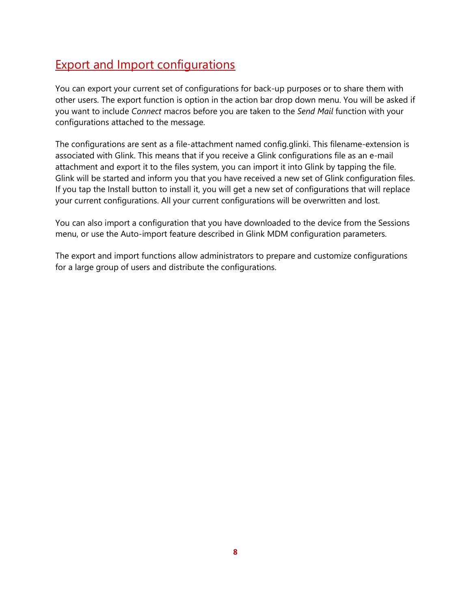# Export and Import configurations

You can export your current set of configurations for back-up purposes or to share them with other users. The export function is option in the action bar drop down menu. You will be asked if you want to include *Connect* macros before you are taken to the *Send Mail* function with your configurations attached to the message.

The configurations are sent as a file-attachment named config.glinki. This filename-extension is associated with Glink. This means that if you receive a Glink configurations file as an e-mail attachment and export it to the files system, you can import it into Glink by tapping the file. Glink will be started and inform you that you have received a new set of Glink configuration files. If you tap the Install button to install it, you will get a new set of configurations that will replace your current configurations. All your current configurations will be overwritten and lost.

You can also import a configuration that you have downloaded to the device from the Sessions menu, or use the Auto-import feature described in Glink MDM configuration parameters.

The export and import functions allow administrators to prepare and customize configurations for a large group of users and distribute the configurations.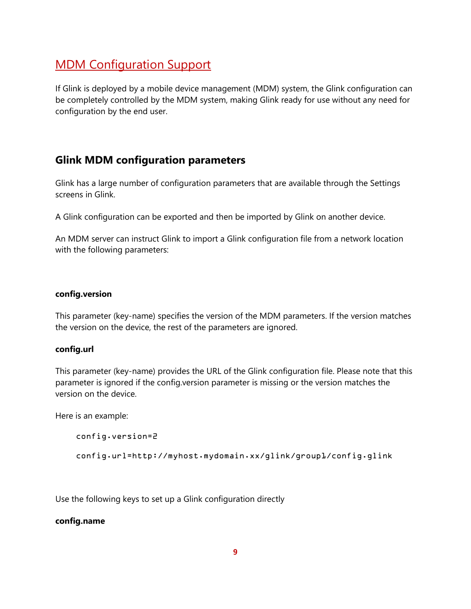## MDM Configuration Support

If Glink is deployed by a mobile device management (MDM) system, the Glink configuration can be completely controlled by the MDM system, making Glink ready for use without any need for configuration by the end user.

### **Glink MDM configuration parameters**

Glink has a large number of configuration parameters that are available through the Settings screens in Glink.

A Glink configuration can be exported and then be imported by Glink on another device.

An MDM server can instruct Glink to import a Glink configuration file from a network location with the following parameters:

#### **config.version**

This parameter (key-name) specifies the version of the MDM parameters. If the version matches the version on the device, the rest of the parameters are ignored.

#### **config.url**

This parameter (key-name) provides the URL of the Glink configuration file. Please note that this parameter is ignored if the config.version parameter is missing or the version matches the version on the device.

Here is an example:

```
 config.version=2
 config.url=http://myhost.mydomain.xx/glink/group1/config.glink
```
Use the following keys to set up a Glink configuration directly

#### **config.name**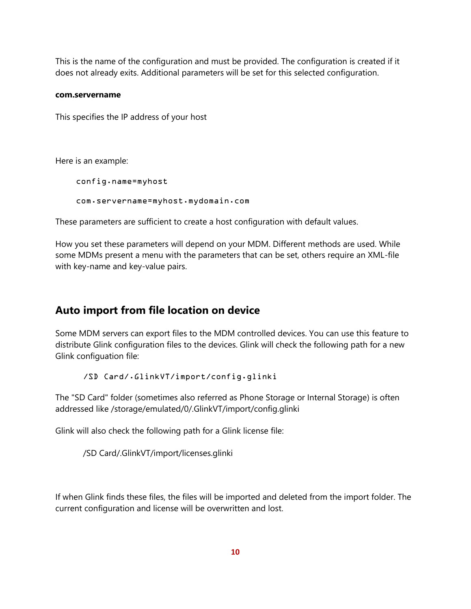This is the name of the configuration and must be provided. The configuration is created if it does not already exits. Additional parameters will be set for this selected configuration.

#### **com.servername**

This specifies the IP address of your host

Here is an example:

```
 config.name=myhost
 com.servername=myhost.mydomain.com
```
These parameters are sufficient to create a host configuration with default values.

How you set these parameters will depend on your MDM. Different methods are used. While some MDMs present a menu with the parameters that can be set, others require an XML-file with key-name and key-value pairs.

### **Auto import from file location on device**

Some MDM servers can export files to the MDM controlled devices. You can use this feature to distribute Glink configuration files to the devices. Glink will check the following path for a new Glink configuation file:

/SD Card/.GlinkVT/import/config.glinki

The "SD Card" folder (sometimes also referred as Phone Storage or Internal Storage) is often addressed like /storage/emulated/0/.GlinkVT/import/config.glinki

Glink will also check the following path for a Glink license file:

/SD Card/.GlinkVT/import/licenses.glinki

If when Glink finds these files, the files will be imported and deleted from the import folder. The current configuration and license will be overwritten and lost.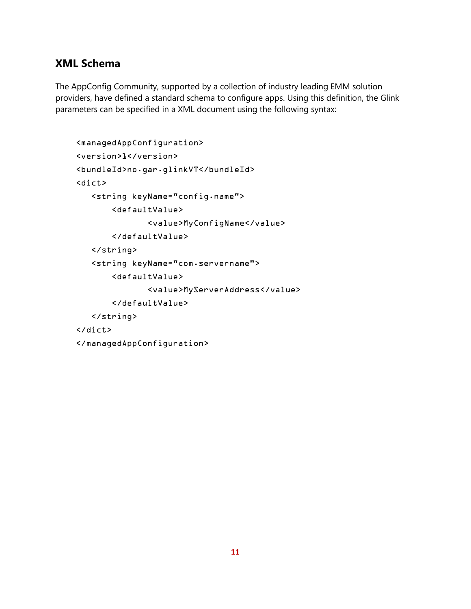### **XML Schema**

The AppConfig Community, supported by a collection of industry leading EMM solution providers, have defined a standard schema to configure apps. Using this definition, the Glink parameters can be specified in a XML document using the following syntax:

```
 <managedAppConfiguration>
 <version>1</version>
 <bundleId>no.gar.glinkVT</bundleId>
 <dict>
    <string keyName="config.name">
        <defaultValue>
                <value>MyConfigName</value>
        </defaultValue>
    </string>
    <string keyName="com.servername">
        <defaultValue>
                <value>MyServerAddress</value>
        </defaultValue>
    </string>
 </dict>
 </managedAppConfiguration>
```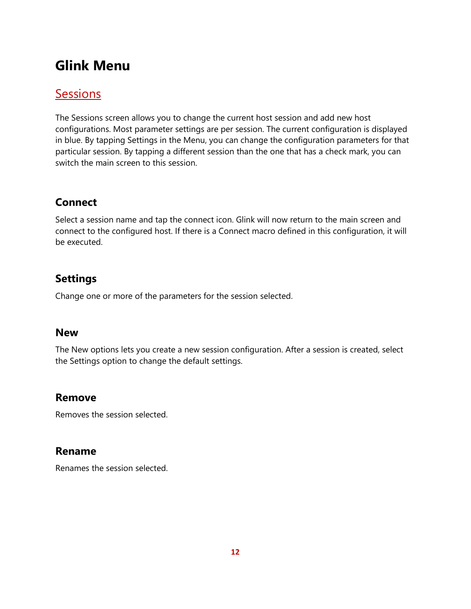# **Glink Menu**

## **Sessions**

The Sessions screen allows you to change the current host session and add new host configurations. Most parameter settings are per session. The current configuration is displayed in blue. By tapping Settings in the Menu, you can change the configuration parameters for that particular session. By tapping a different session than the one that has a check mark, you can switch the main screen to this session.

### **Connect**

Select a session name and tap the connect icon. Glink will now return to the main screen and connect to the configured host. If there is a Connect macro defined in this configuration, it will be executed.

### **Settings**

Change one or more of the parameters for the session selected.

### **New**

The New options lets you create a new session configuration. After a session is created, select the Settings option to change the default settings.

### **Remove**

Removes the session selected.

### **Rename**

Renames the session selected.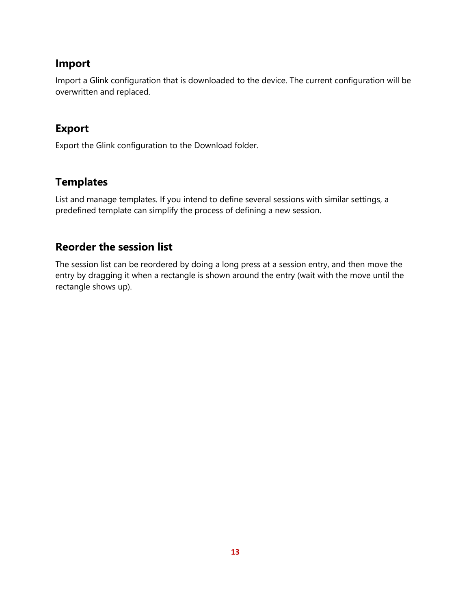### **Import**

Import a Glink configuration that is downloaded to the device. The current configuration will be overwritten and replaced.

### **Export**

Export the Glink configuration to the Download folder.

### **Templates**

List and manage templates. If you intend to define several sessions with similar settings, a predefined template can simplify the process of defining a new session.

### **Reorder the session list**

The session list can be reordered by doing a long press at a session entry, and then move the entry by dragging it when a rectangle is shown around the entry (wait with the move until the rectangle shows up).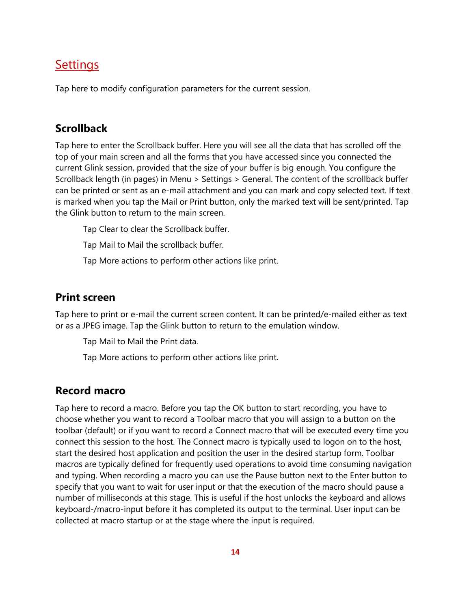## **Settings**

Tap here to modify configuration parameters for the current session.

### **Scrollback**

Tap here to enter the Scrollback buffer. Here you will see all the data that has scrolled off the top of your main screen and all the forms that you have accessed since you connected the current Glink session, provided that the size of your buffer is big enough. You configure the Scrollback length (in pages) in Menu > Settings > General. The content of the scrollback buffer can be printed or sent as an e-mail attachment and you can mark and copy selected text. If text is marked when you tap the Mail or Print button, only the marked text will be sent/printed. Tap the Glink button to return to the main screen.

Tap Clear to clear the Scrollback buffer.

Tap Mail to Mail the scrollback buffer.

Tap More actions to perform other actions like print.

#### **Print screen**

Tap here to print or e-mail the current screen content. It can be printed/e-mailed either as text or as a JPEG image. Tap the Glink button to return to the emulation window.

Tap Mail to Mail the Print data.

Tap More actions to perform other actions like print.

#### **Record macro**

Tap here to record a macro. Before you tap the OK button to start recording, you have to choose whether you want to record a Toolbar macro that you will assign to a button on the toolbar (default) or if you want to record a Connect macro that will be executed every time you connect this session to the host. The Connect macro is typically used to logon on to the host, start the desired host application and position the user in the desired startup form. Toolbar macros are typically defined for frequently used operations to avoid time consuming navigation and typing. When recording a macro you can use the Pause button next to the Enter button to specify that you want to wait for user input or that the execution of the macro should pause a number of milliseconds at this stage. This is useful if the host unlocks the keyboard and allows keyboard-/macro-input before it has completed its output to the terminal. User input can be collected at macro startup or at the stage where the input is required.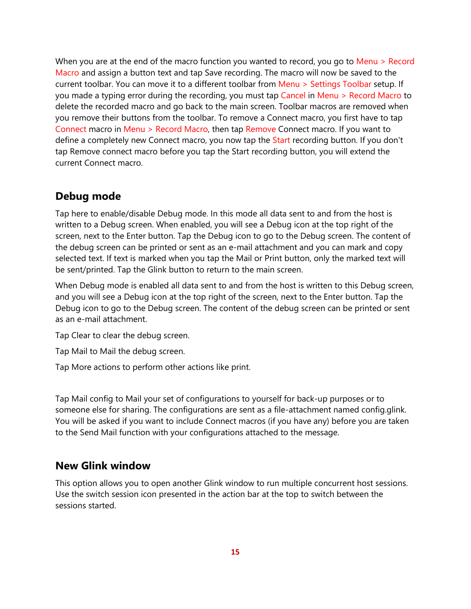When you are at the end of the macro function you wanted to record, you go to Menu > Record Macro and assign a button text and tap Save recording. The macro will now be saved to the current toolbar. You can move it to a different toolbar from Menu > Settings Toolbar setup. If you made a typing error during the recording, you must tap Cancel in Menu > Record Macro to delete the recorded macro and go back to the main screen. Toolbar macros are removed when you remove their buttons from the toolbar. To remove a Connect macro, you first have to tap Connect macro in Menu > Record Macro, then tap Remove Connect macro. If you want to define a completely new Connect macro, you now tap the Start recording button. If you don't tap Remove connect macro before you tap the Start recording button, you will extend the current Connect macro.

#### **Debug mode**

Tap here to enable/disable Debug mode. In this mode all data sent to and from the host is written to a Debug screen. When enabled, you will see a Debug icon at the top right of the screen, next to the Enter button. Tap the Debug icon to go to the Debug screen. The content of the debug screen can be printed or sent as an e-mail attachment and you can mark and copy selected text. If text is marked when you tap the Mail or Print button, only the marked text will be sent/printed. Tap the Glink button to return to the main screen.

When Debug mode is enabled all data sent to and from the host is written to this Debug screen, and you will see a Debug icon at the top right of the screen, next to the Enter button. Tap the Debug icon to go to the Debug screen. The content of the debug screen can be printed or sent as an e-mail attachment.

Tap Clear to clear the debug screen.

Tap Mail to Mail the debug screen.

Tap More actions to perform other actions like print.

Tap Mail config to Mail your set of configurations to yourself for back-up purposes or to someone else for sharing. The configurations are sent as a file-attachment named config.glink. You will be asked if you want to include Connect macros (if you have any) before you are taken to the Send Mail function with your configurations attached to the message.

#### **New Glink window**

This option allows you to open another Glink window to run multiple concurrent host sessions. Use the switch session icon presented in the action bar at the top to switch between the sessions started.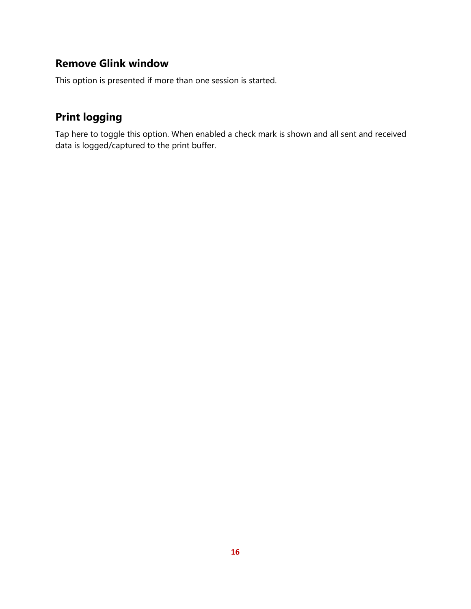### **Remove Glink window**

This option is presented if more than one session is started.

## **Print logging**

Tap here to toggle this option. When enabled a check mark is shown and all sent and received data is logged/captured to the print buffer.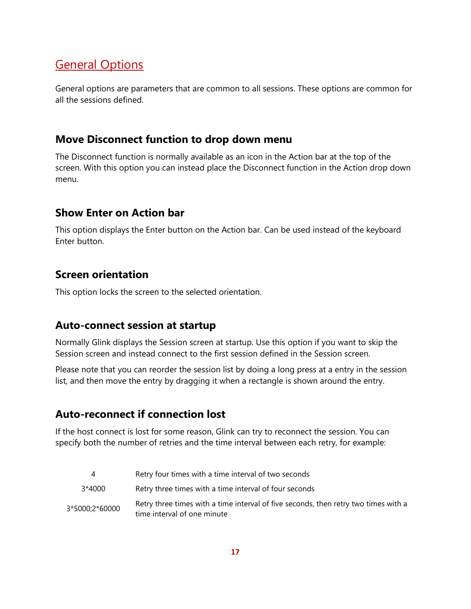# **General Options**

General options are parameters that are common to all sessions. These options are common for all the sessions defined.

### **Move Disconnect function to drop down menu**

The Disconnect function is normally available as an icon in the Action bar at the top of the screen. With this option you can instead place the Disconnect function in the Action drop down menu.

### **Show Enter on Action bar**

This option displays the Enter button on the Action bar. Can be used instead of the keyboard Enter button.

### **Screen orientation**

This option locks the screen to the selected orientation.

### **Auto-connect session at startup**

Normally Glink displays the Session screen at startup. Use this option if you want to skip the Session screen and instead connect to the first session defined in the Session screen.

Please note that you can reorder the session list by doing a long press at a entry in the session list, and then move the entry by dragging it when a rectangle is shown around the entry.

### **Auto-reconnect if connection lost**

If the host connect is lost for some reason, Glink can try to reconnect the session. You can specify both the number of retries and the time interval between each retry, for example:

| 4              | Retry four times with a time interval of two seconds                                                               |
|----------------|--------------------------------------------------------------------------------------------------------------------|
| 3*4000         | Retry three times with a time interval of four seconds                                                             |
| 3*5000;2*60000 | Retry three times with a time interval of five seconds, then retry two times with a<br>time interval of one minute |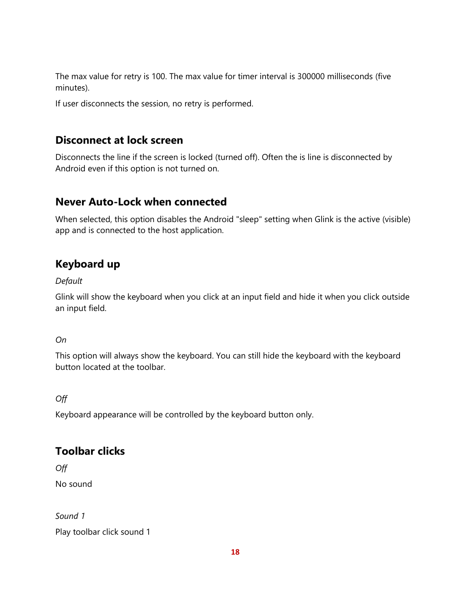The max value for retry is 100. The max value for timer interval is 300000 milliseconds (five minutes).

If user disconnects the session, no retry is performed.

### **Disconnect at lock screen**

Disconnects the line if the screen is locked (turned off). Often the is line is disconnected by Android even if this option is not turned on.

### **Never Auto-Lock when connected**

When selected, this option disables the Android "sleep" setting when Glink is the active (visible) app and is connected to the host application.

### **Keyboard up**

*Default*

Glink will show the keyboard when you click at an input field and hide it when you click outside an input field.

*On*

This option will always show the keyboard. You can still hide the keyboard with the keyboard button located at the toolbar.

*Off*

Keyboard appearance will be controlled by the keyboard button only.

### **Toolbar clicks**

*Off*

No sound

*Sound 1* Play toolbar click sound 1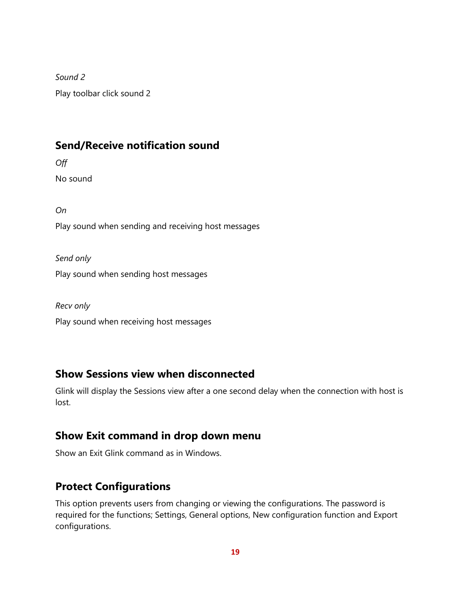*Sound 2*

Play toolbar click sound 2

### **Send/Receive notification sound**

*Off*

No sound

*On*

Play sound when sending and receiving host messages

*Send only* Play sound when sending host messages

*Recv only* Play sound when receiving host messages

### **Show Sessions view when disconnected**

Glink will display the Sessions view after a one second delay when the connection with host is lost.

### **Show Exit command in drop down menu**

Show an Exit Glink command as in Windows.

### **Protect Configurations**

This option prevents users from changing or viewing the configurations. The password is required for the functions; Settings, General options, New configuration function and Export configurations.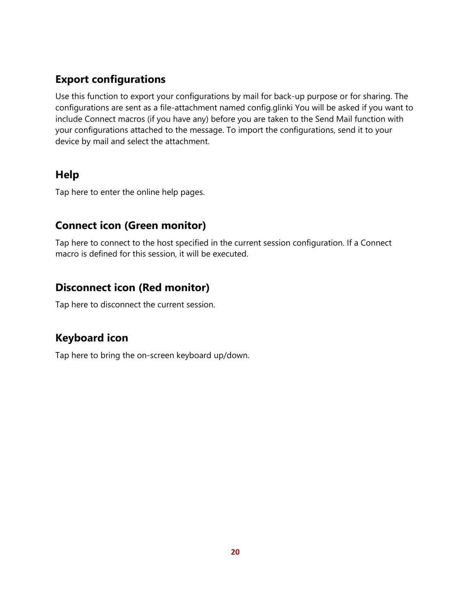## **Export configurations**

Use this function to export your configurations by mail for back-up purpose or for sharing. The configurations are sent as a file-attachment named config.glinki You will be asked if you want to include Connect macros (if you have any) before you are taken to the Send Mail function with your configurations attached to the message. To import the configurations, send it to your device by mail and select the attachment.

### **Help**

Tap here to enter the online help pages.

## **Connect icon (Green monitor)**

Tap here to connect to the host specified in the current session configuration. If a Connect macro is defined for this session, it will be executed.

## **Disconnect icon (Red monitor)**

Tap here to disconnect the current session.

## **Keyboard icon**

Tap here to bring the on-screen keyboard up/down.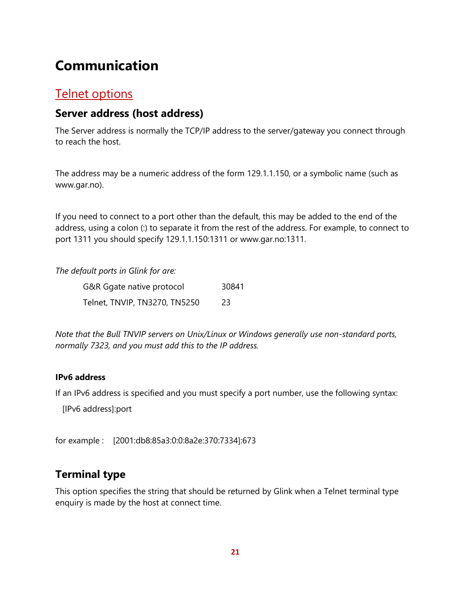# **Communication**

### Telnet options

### **Server address (host address)**

The Server address is normally the TCP/IP address to the server/gateway you connect through to reach the host.

The address may be a numeric address of the form 129.1.1.150, or a symbolic name (such as www.gar.no).

If you need to connect to a port other than the default, this may be added to the end of the address, using a colon (:) to separate it from the rest of the address. For example, to connect to port 1311 you should specify 129.1.1.150:1311 or www.gar.no:1311.

*The default ports in Glink for are:*

| G&R Ggate native protocol     | 30841 |
|-------------------------------|-------|
| Telnet, TNVIP, TN3270, TN5250 | -23   |

*Note that the Bull TNVIP servers on Unix/Linux or Windows generally use non-standard ports, normally 7323, and you must add this to the IP address.*

#### **IPv6 address**

If an IPv6 address is specified and you must specify a port number, use the following syntax:

[IPv6 address]:port

for example : [2001:db8:85a3:0:0:8a2e:370:7334]:673

### **Terminal type**

This option specifies the string that should be returned by Glink when a Telnet terminal type enquiry is made by the host at connect time.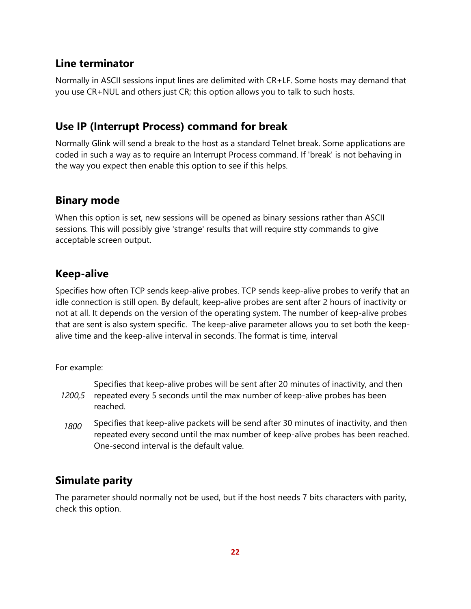### **Line terminator**

Normally in ASCII sessions input lines are delimited with CR+LF. Some hosts may demand that you use CR+NUL and others just CR; this option allows you to talk to such hosts.

### **Use IP (Interrupt Process) command for break**

Normally Glink will send a break to the host as a standard Telnet break. Some applications are coded in such a way as to require an Interrupt Process command. If 'break' is not behaving in the way you expect then enable this option to see if this helps.

### **Binary mode**

When this option is set, new sessions will be opened as binary sessions rather than ASCII sessions. This will possibly give 'strange' results that will require stty commands to give acceptable screen output.

### **Keep-alive**

Specifies how often TCP sends keep-alive probes. TCP sends keep-alive probes to verify that an idle connection is still open. By default, keep-alive probes are sent after 2 hours of inactivity or not at all. It depends on the version of the operating system. The number of keep-alive probes that are sent is also system specific. The keep-alive parameter allows you to set both the keepalive time and the keep-alive interval in seconds. The format is time, interval

For example:

Specifies that keep-alive probes will be sent after 20 minutes of inactivity, and then

- *1200,5* repeated every 5 seconds until the max number of keep-alive probes has been reached.
- 1800 Specifies that keep-alive packets will be send after 30 minutes of inactivity, and then repeated every second until the max number of keep-alive probes has been reached. One-second interval is the default value.

### **Simulate parity**

The parameter should normally not be used, but if the host needs 7 bits characters with parity, check this option.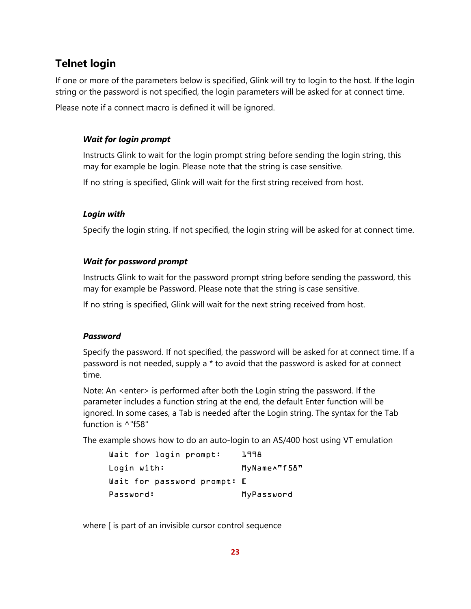### **Telnet login**

If one or more of the parameters below is specified, Glink will try to login to the host. If the login string or the password is not specified, the login parameters will be asked for at connect time.

Please note if a connect macro is defined it will be ignored.

#### *Wait for login prompt*

Instructs Glink to wait for the login prompt string before sending the login string, this may for example be login. Please note that the string is case sensitive.

If no string is specified, Glink will wait for the first string received from host.

#### *Login with*

Specify the login string. If not specified, the login string will be asked for at connect time.

#### *Wait for password prompt*

Instructs Glink to wait for the password prompt string before sending the password, this may for example be Password. Please note that the string is case sensitive.

If no string is specified, Glink will wait for the next string received from host.

#### *Password*

Specify the password. If not specified, the password will be asked for at connect time. If a password is not needed, supply a \* to avoid that the password is asked for at connect time.

Note: An <enter> is performed after both the Login string the password. If the parameter includes a function string at the end, the default Enter function will be ignored. In some cases, a Tab is needed after the Login string. The syntax for the Tab function is ^"f58"

The example shows how to do an auto-login to an AS/400 host using VT emulation

| Wait for login prompt:      | 1998           |
|-----------------------------|----------------|
| Login with:                 | MyName n'f 58" |
| Wait for password prompt: L |                |
| Password:                   | MyPassword     |

where [ is part of an invisible cursor control sequence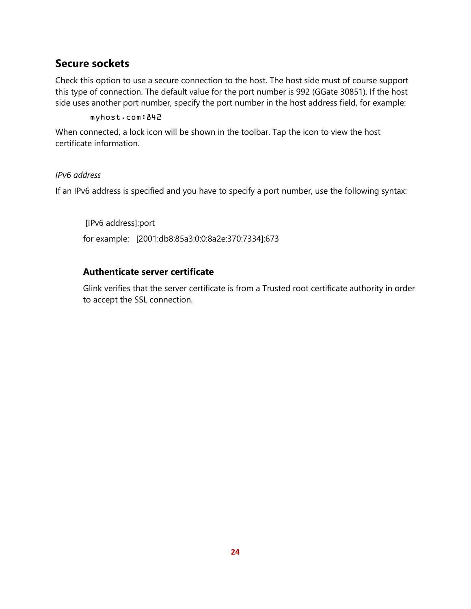### **Secure sockets**

Check this option to use a secure connection to the host. The host side must of course support this type of connection. The default value for the port number is 992 (GGate 30851). If the host side uses another port number, specify the port number in the host address field, for example:

myhost.com:842

When connected, a lock icon will be shown in the toolbar. Tap the icon to view the host certificate information.

#### *IPv6 address*

If an IPv6 address is specified and you have to specify a port number, use the following syntax:

[IPv6 address]:port for example: [2001:db8:85a3:0:0:8a2e:370:7334]:673

#### **Authenticate server certificate**

Glink verifies that the server certificate is from a Trusted root certificate authority in order to accept the SSL connection.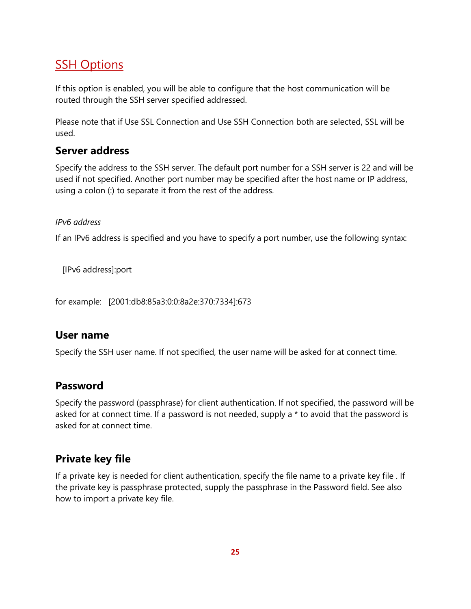## **SSH Options**

If this option is enabled, you will be able to configure that the host communication will be routed through the SSH server specified addressed.

Please note that if Use SSL Connection and Use SSH Connection both are selected, SSL will be used.

### **Server address**

Specify the address to the SSH server. The default port number for a SSH server is 22 and will be used if not specified. Another port number may be specified after the host name or IP address, using a colon (:) to separate it from the rest of the address.

#### *IPv6 address*

If an IPv6 address is specified and you have to specify a port number, use the following syntax:

[IPv6 address]:port

for example: [2001:db8:85a3:0:0:8a2e:370:7334]:673

#### **User name**

Specify the SSH user name. If not specified, the user name will be asked for at connect time.

### **Password**

Specify the password (passphrase) for client authentication. If not specified, the password will be asked for at connect time. If a password is not needed, supply a \* to avoid that the password is asked for at connect time.

### **Private key file**

If a private key is needed for client authentication, specify the file name to a private key file . If the private key is passphrase protected, supply the passphrase in the Password field. See also how to import a private key file.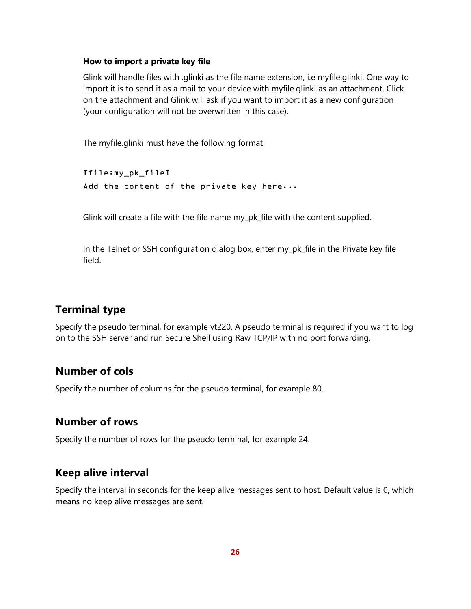#### **How to import a private key file**

Glink will handle files with .glinki as the file name extension, i.e myfile.glinki. One way to import it is to send it as a mail to your device with myfile.glinki as an attachment. Click on the attachment and Glink will ask if you want to import it as a new configuration (your configuration will not be overwritten in this case).

The myfile.glinki must have the following format:

```
[file:my_pk_file]
Add the content of the private key here...
```
Glink will create a file with the file name my\_pk\_file with the content supplied.

In the Telnet or SSH configuration dialog box, enter my\_pk\_file in the Private key file field.

### **Terminal type**

Specify the pseudo terminal, for example vt220. A pseudo terminal is required if you want to log on to the SSH server and run Secure Shell using Raw TCP/IP with no port forwarding.

#### **Number of cols**

Specify the number of columns for the pseudo terminal, for example 80.

#### **Number of rows**

Specify the number of rows for the pseudo terminal, for example 24.

### **Keep alive interval**

Specify the interval in seconds for the keep alive messages sent to host. Default value is 0, which means no keep alive messages are sent.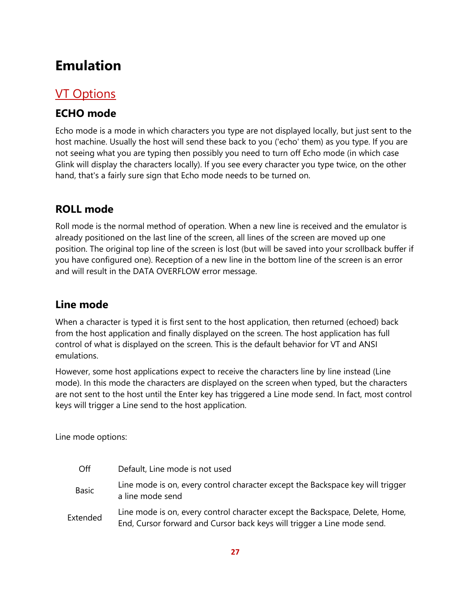# **Emulation**

## **VT Options**

## **ECHO mode**

Echo mode is a mode in which characters you type are not displayed locally, but just sent to the host machine. Usually the host will send these back to you ('echo' them) as you type. If you are not seeing what you are typing then possibly you need to turn off Echo mode (in which case Glink will display the characters locally). If you see every character you type twice, on the other hand, that's a fairly sure sign that Echo mode needs to be turned on.

### **ROLL mode**

Roll mode is the normal method of operation. When a new line is received and the emulator is already positioned on the last line of the screen, all lines of the screen are moved up one position. The original top line of the screen is lost (but will be saved into your scrollback buffer if you have configured one). Reception of a new line in the bottom line of the screen is an error and will result in the DATA OVERFLOW error message.

### **Line mode**

When a character is typed it is first sent to the host application, then returned (echoed) back from the host application and finally displayed on the screen. The host application has full control of what is displayed on the screen. This is the default behavior for VT and ANSI emulations.

However, some host applications expect to receive the characters line by line instead (Line mode). In this mode the characters are displayed on the screen when typed, but the characters are not sent to the host until the Enter key has triggered a Line mode send. In fact, most control keys will trigger a Line send to the host application.

Line mode options:

| Off          | Default, Line mode is not used                                                                                                                          |
|--------------|---------------------------------------------------------------------------------------------------------------------------------------------------------|
| <b>Basic</b> | Line mode is on, every control character except the Backspace key will trigger<br>a line mode send                                                      |
| Extended     | Line mode is on, every control character except the Backspace, Delete, Home,<br>End, Cursor forward and Cursor back keys will trigger a Line mode send. |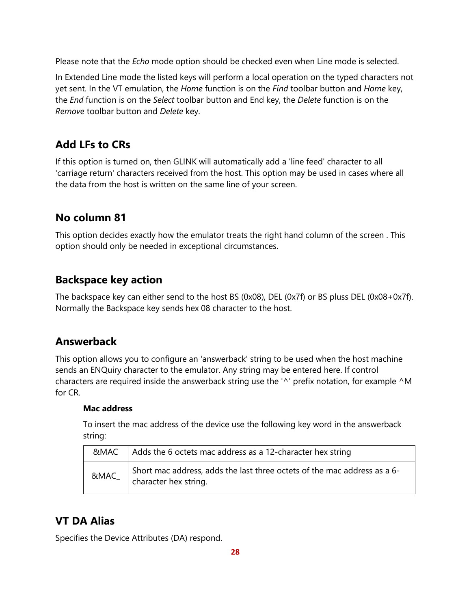Please note that the *Echo* mode option should be checked even when Line mode is selected.

In Extended Line mode the listed keys will perform a local operation on the typed characters not yet sent. In the VT emulation, the *Home* function is on the *Find* toolbar button and *Home* key, the *End* function is on the *Select* toolbar button and End key, the *Delete* function is on the *Remove* toolbar button and *Delete* key.

## **Add LFs to CRs**

If this option is turned on, then GLINK will automatically add a 'line feed' character to all 'carriage return' characters received from the host. This option may be used in cases where all the data from the host is written on the same line of your screen.

### **No column 81**

This option decides exactly how the emulator treats the right hand column of the screen . This option should only be needed in exceptional circumstances.

### **Backspace key action**

The backspace key can either send to the host BS (0x08), DEL (0x7f) or BS pluss DEL (0x08+0x7f). Normally the Backspace key sends hex 08 character to the host.

### **Answerback**

This option allows you to configure an 'answerback' string to be used when the host machine sends an ENQuiry character to the emulator. Any string may be entered here. If control characters are required inside the answerback string use the '^' prefix notation, for example ^M for CR.

#### **Mac address**

To insert the mac address of the device use the following key word in the answerback string:

| &MAC  | Adds the 6 octets mac address as a 12-character hex string                                        |
|-------|---------------------------------------------------------------------------------------------------|
| &MAC_ | Short mac address, adds the last three octets of the mac address as a 6-<br>character hex string. |

### **VT DA Alias**

Specifies the Device Attributes (DA) respond.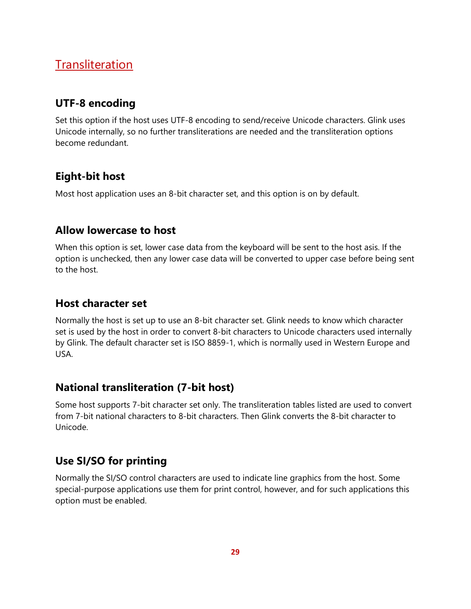## **Transliteration**

### **UTF-8 encoding**

Set this option if the host uses UTF-8 encoding to send/receive Unicode characters. Glink uses Unicode internally, so no further transliterations are needed and the transliteration options become redundant.

## **Eight-bit host**

Most host application uses an 8-bit character set, and this option is on by default.

### **Allow lowercase to host**

When this option is set, lower case data from the keyboard will be sent to the host asis. If the option is unchecked, then any lower case data will be converted to upper case before being sent to the host.

### **Host character set**

Normally the host is set up to use an 8-bit character set. Glink needs to know which character set is used by the host in order to convert 8-bit characters to Unicode characters used internally by Glink. The default character set is ISO 8859-1, which is normally used in Western Europe and USA.

### **National transliteration (7-bit host)**

Some host supports 7-bit character set only. The transliteration tables listed are used to convert from 7-bit national characters to 8-bit characters. Then Glink converts the 8-bit character to Unicode.

## **Use SI/SO for printing**

Normally the SI/SO control characters are used to indicate line graphics from the host. Some special-purpose applications use them for print control, however, and for such applications this option must be enabled.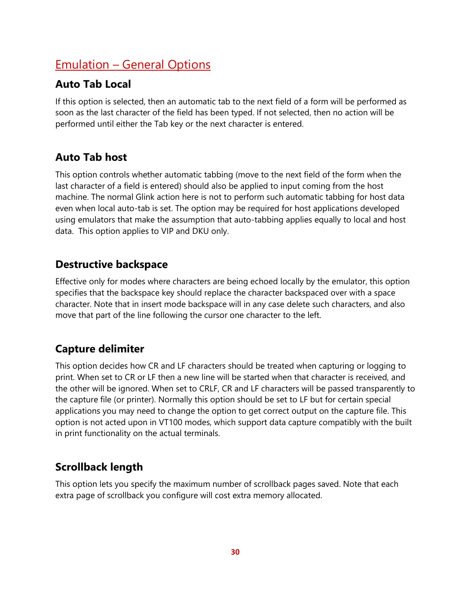# Emulation – General Options

### **Auto Tab Local**

If this option is selected, then an automatic tab to the next field of a form will be performed as soon as the last character of the field has been typed. If not selected, then no action will be performed until either the Tab key or the next character is entered.

### **Auto Tab host**

This option controls whether automatic tabbing (move to the next field of the form when the last character of a field is entered) should also be applied to input coming from the host machine. The normal Glink action here is not to perform such automatic tabbing for host data even when local auto-tab is set. The option may be required for host applications developed using emulators that make the assumption that auto-tabbing applies equally to local and host data. This option applies to VIP and DKU only.

### **Destructive backspace**

Effective only for modes where characters are being echoed locally by the emulator, this option specifies that the backspace key should replace the character backspaced over with a space character. Note that in insert mode backspace will in any case delete such characters, and also move that part of the line following the cursor one character to the left.

### **Capture delimiter**

This option decides how CR and LF characters should be treated when capturing or logging to print. When set to CR or LF then a new line will be started when that character is received, and the other will be ignored. When set to CRLF, CR and LF characters will be passed transparently to the capture file (or printer). Normally this option should be set to LF but for certain special applications you may need to change the option to get correct output on the capture file. This option is not acted upon in VT100 modes, which support data capture compatibly with the built in print functionality on the actual terminals.

### **Scrollback length**

This option lets you specify the maximum number of scrollback pages saved. Note that each extra page of scrollback you configure will cost extra memory allocated.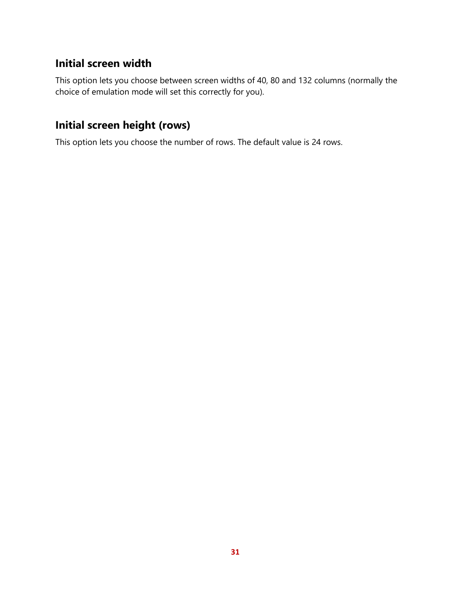### **Initial screen width**

This option lets you choose between screen widths of 40, 80 and 132 columns (normally the choice of emulation mode will set this correctly for you).

## **Initial screen height (rows)**

This option lets you choose the number of rows. The default value is 24 rows.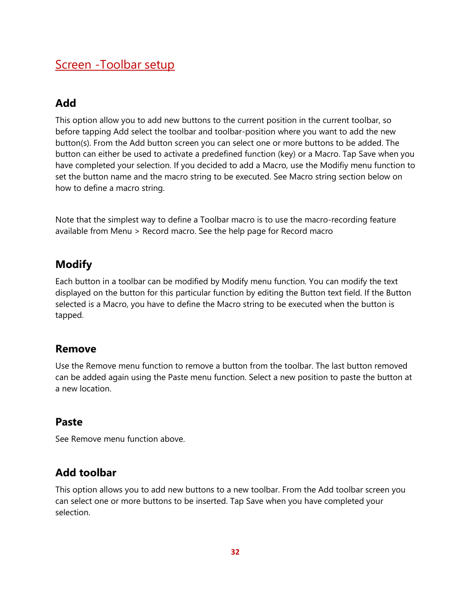## Screen -Toolbar setup

### **Add**

This option allow you to add new buttons to the current position in the current toolbar, so before tapping Add select the toolbar and toolbar-position where you want to add the new button(s). From the Add button screen you can select one or more buttons to be added. The button can either be used to activate a predefined function (key) or a Macro. Tap Save when you have completed your selection. If you decided to add a Macro, use the Modifiy menu function to set the button name and the macro string to be executed. See Macro string section below on how to define a macro string.

Note that the simplest way to define a Toolbar macro is to use the macro-recording feature available from Menu > Record macro. See the help page for Record macro

### **Modify**

Each button in a toolbar can be modified by Modify menu function. You can modify the text displayed on the button for this particular function by editing the Button text field. If the Button selected is a Macro, you have to define the Macro string to be executed when the button is tapped.

### **Remove**

Use the Remove menu function to remove a button from the toolbar. The last button removed can be added again using the Paste menu function. Select a new position to paste the button at a new location.

### **Paste**

See Remove menu function above.

### **Add toolbar**

This option allows you to add new buttons to a new toolbar. From the Add toolbar screen you can select one or more buttons to be inserted. Tap Save when you have completed your selection.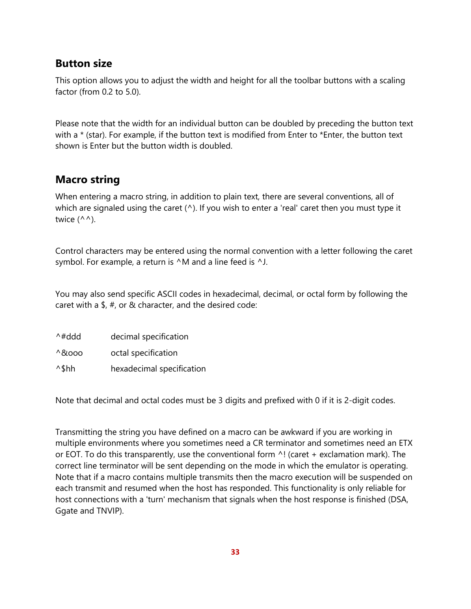### **Button size**

This option allows you to adjust the width and height for all the toolbar buttons with a scaling factor (from 0.2 to 5.0).

Please note that the width for an individual button can be doubled by preceding the button text with a  $*$  (star). For example, if the button text is modified from Enter to \*Enter, the button text shown is Enter but the button width is doubled.

### **Macro string**

When entering a macro string, in addition to plain text, there are several conventions, all of which are signaled using the caret  $(^{\wedge})$ . If you wish to enter a 'real' caret then you must type it twice  $(^{\wedge \wedge}).$ 

Control characters may be entered using the normal convention with a letter following the caret symbol. For example, a return is ^M and a line feed is ^J.

You may also send specific ASCII codes in hexadecimal, decimal, or octal form by following the caret with a \$, #, or & character, and the desired code:

| $\wedge$ #ddd     | decimal specification     |
|-------------------|---------------------------|
| $^{\wedge}$ & 000 | octal specification       |
| $^{\wedge}$ shh   | hexadecimal specification |

Note that decimal and octal codes must be 3 digits and prefixed with 0 if it is 2-digit codes.

Transmitting the string you have defined on a macro can be awkward if you are working in multiple environments where you sometimes need a CR terminator and sometimes need an ETX or EOT. To do this transparently, use the conventional form  $\wedge$ ! (caret + exclamation mark). The correct line terminator will be sent depending on the mode in which the emulator is operating. Note that if a macro contains multiple transmits then the macro execution will be suspended on each transmit and resumed when the host has responded. This functionality is only reliable for host connections with a 'turn' mechanism that signals when the host response is finished (DSA, Ggate and TNVIP).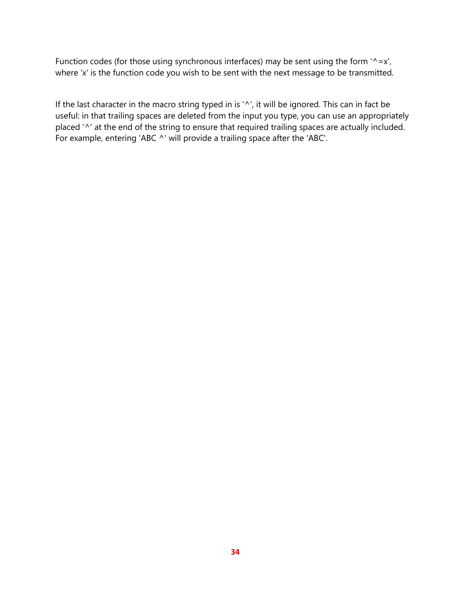Function codes (for those using synchronous interfaces) may be sent using the form ' $\text{A} = \text{x}'$ , where 'x' is the function code you wish to be sent with the next message to be transmitted.

If the last character in the macro string typed in is '^', it will be ignored. This can in fact be useful: in that trailing spaces are deleted from the input you type, you can use an appropriately placed '^' at the end of the string to ensure that required trailing spaces are actually included. For example, entering 'ABC ^' will provide a trailing space after the 'ABC'.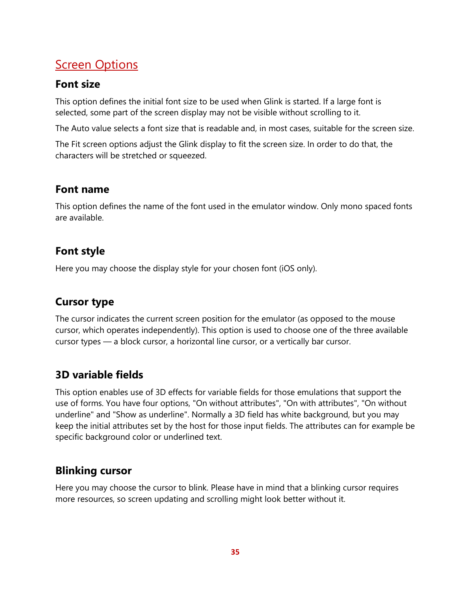## Screen Options

### **Font size**

This option defines the initial font size to be used when Glink is started. If a large font is selected, some part of the screen display may not be visible without scrolling to it.

The Auto value selects a font size that is readable and, in most cases, suitable for the screen size.

The Fit screen options adjust the Glink display to fit the screen size. In order to do that, the characters will be stretched or squeezed.

### **Font name**

This option defines the name of the font used in the emulator window. Only mono spaced fonts are available.

### **Font style**

Here you may choose the display style for your chosen font (iOS only).

### **Cursor type**

The cursor indicates the current screen position for the emulator (as opposed to the mouse cursor, which operates independently). This option is used to choose one of the three available cursor types — a block cursor, a horizontal line cursor, or a vertically bar cursor.

### **3D variable fields**

This option enables use of 3D effects for variable fields for those emulations that support the use of forms. You have four options, "On without attributes", "On with attributes", "On without underline" and "Show as underline". Normally a 3D field has white background, but you may keep the initial attributes set by the host for those input fields. The attributes can for example be specific background color or underlined text.

### **Blinking cursor**

Here you may choose the cursor to blink. Please have in mind that a blinking cursor requires more resources, so screen updating and scrolling might look better without it.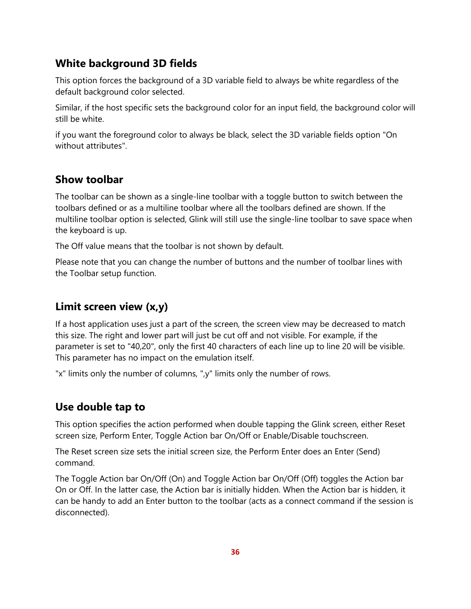### **White background 3D fields**

This option forces the background of a 3D variable field to always be white regardless of the default background color selected.

Similar, if the host specific sets the background color for an input field, the background color will still be white.

if you want the foreground color to always be black, select the 3D variable fields option "On without attributes".

### **Show toolbar**

The toolbar can be shown as a single-line toolbar with a toggle button to switch between the toolbars defined or as a multiline toolbar where all the toolbars defined are shown. If the multiline toolbar option is selected, Glink will still use the single-line toolbar to save space when the keyboard is up.

The Off value means that the toolbar is not shown by default.

Please note that you can change the number of buttons and the number of toolbar lines with the Toolbar setup function.

### **Limit screen view (x,y)**

If a host application uses just a part of the screen, the screen view may be decreased to match this size. The right and lower part will just be cut off and not visible. For example, if the parameter is set to "40,20", only the first 40 characters of each line up to line 20 will be visible. This parameter has no impact on the emulation itself.

"x" limits only the number of columns, ",y" limits only the number of rows.

### **Use double tap to**

This option specifies the action performed when double tapping the Glink screen, either Reset screen size, Perform Enter, Toggle Action bar On/Off or Enable/Disable touchscreen.

The Reset screen size sets the initial screen size, the Perform Enter does an Enter (Send) command.

The Toggle Action bar On/Off (On) and Toggle Action bar On/Off (Off) toggles the Action bar On or Off. In the latter case, the Action bar is initially hidden. When the Action bar is hidden, it can be handy to add an Enter button to the toolbar (acts as a connect command if the session is disconnected).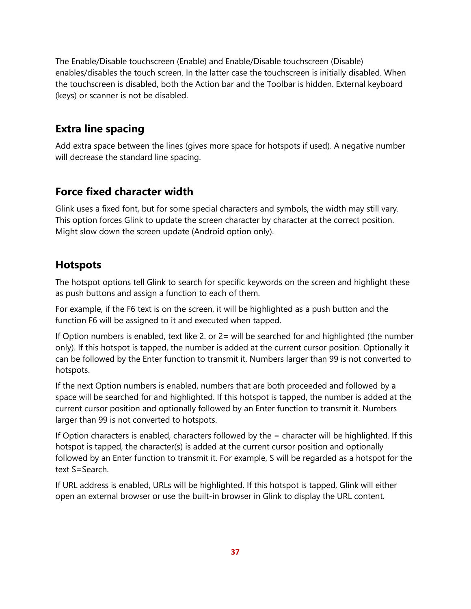The Enable/Disable touchscreen (Enable) and Enable/Disable touchscreen (Disable) enables/disables the touch screen. In the latter case the touchscreen is initially disabled. When the touchscreen is disabled, both the Action bar and the Toolbar is hidden. External keyboard (keys) or scanner is not be disabled.

### **Extra line spacing**

Add extra space between the lines (gives more space for hotspots if used). A negative number will decrease the standard line spacing.

### **Force fixed character width**

Glink uses a fixed font, but for some special characters and symbols, the width may still vary. This option forces Glink to update the screen character by character at the correct position. Might slow down the screen update (Android option only).

### **Hotspots**

The hotspot options tell Glink to search for specific keywords on the screen and highlight these as push buttons and assign a function to each of them.

For example, if the F6 text is on the screen, it will be highlighted as a push button and the function F6 will be assigned to it and executed when tapped.

If Option numbers is enabled, text like 2. or 2= will be searched for and highlighted (the number only). If this hotspot is tapped, the number is added at the current cursor position. Optionally it can be followed by the Enter function to transmit it. Numbers larger than 99 is not converted to hotspots.

If the next Option numbers is enabled, numbers that are both proceeded and followed by a space will be searched for and highlighted. If this hotspot is tapped, the number is added at the current cursor position and optionally followed by an Enter function to transmit it. Numbers larger than 99 is not converted to hotspots.

If Option characters is enabled, characters followed by the = character will be highlighted. If this hotspot is tapped, the character(s) is added at the current cursor position and optionally followed by an Enter function to transmit it. For example, S will be regarded as a hotspot for the text S=Search.

If URL address is enabled, URLs will be highlighted. If this hotspot is tapped, Glink will either open an external browser or use the built-in browser in Glink to display the URL content.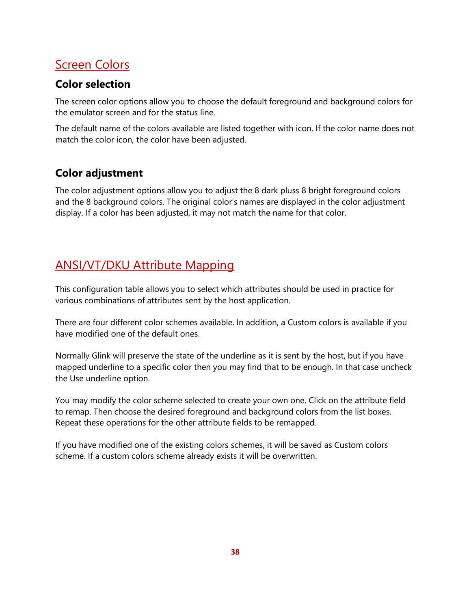# Screen Colors

### **Color selection**

The screen color options allow you to choose the default foreground and background colors for the emulator screen and for the status line.

The default name of the colors available are listed together with icon. If the color name does not match the color icon, the color have been adjusted.

## **Color adjustment**

The color adjustment options allow you to adjust the 8 dark pluss 8 bright foreground colors and the 8 background colors. The original color's names are displayed in the color adjustment display. If a color has been adjusted, it may not match the name for that color.

# ANSI/VT/DKU Attribute Mapping

This configuration table allows you to select which attributes should be used in practice for various combinations of attributes sent by the host application.

There are four different color schemes available. In addition, a Custom colors is available if you have modified one of the default ones.

Normally Glink will preserve the state of the underline as it is sent by the host, but if you have mapped underline to a specific color then you may find that to be enough. In that case uncheck the Use underline option.

You may modify the color scheme selected to create your own one. Click on the attribute field to remap. Then choose the desired foreground and background colors from the list boxes. Repeat these operations for the other attribute fields to be remapped.

If you have modified one of the existing colors schemes, it will be saved as Custom colors scheme. If a custom colors scheme already exists it will be overwritten.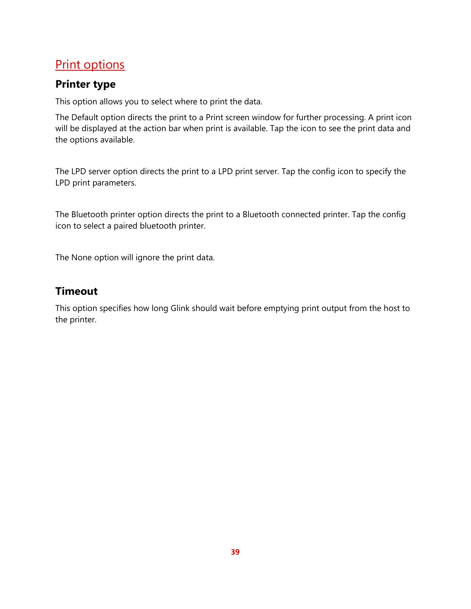# Print options

### **Printer type**

This option allows you to select where to print the data.

The Default option directs the print to a Print screen window for further processing. A print icon will be displayed at the action bar when print is available. Tap the icon to see the print data and the options available.

The LPD server option directs the print to a LPD print server. Tap the config icon to specify the LPD print parameters.

The Bluetooth printer option directs the print to a Bluetooth connected printer. Tap the config icon to select a paired bluetooth printer.

The None option will ignore the print data.

### **Timeout**

This option specifies how long Glink should wait before emptying print output from the host to the printer.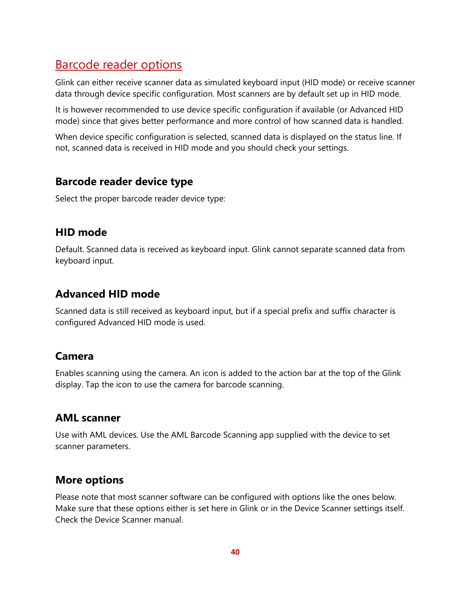## Barcode reader options

Glink can either receive scanner data as simulated keyboard input (HID mode) or receive scanner data through device specific configuration. Most scanners are by default set up in HID mode.

It is however recommended to use device specific configuration if available (or Advanced HID mode) since that gives better performance and more control of how scanned data is handled.

When device specific configuration is selected, scanned data is displayed on the status line. If not, scanned data is received in HID mode and you should check your settings.

### **Barcode reader device type**

Select the proper barcode reader device type:

### **HID mode**

Default. Scanned data is received as keyboard input. Glink cannot separate scanned data from keyboard input.

### **Advanced HID mode**

Scanned data is still received as keyboard input, but if a special prefix and suffix character is configured Advanced HID mode is used.

### **Camera**

Enables scanning using the camera. An icon is added to the action bar at the top of the Glink display. Tap the icon to use the camera for barcode scanning.

### **AML scanner**

Use with AML devices. Use the AML Barcode Scanning app supplied with the device to set scanner parameters.

### **More options**

Please note that most scanner software can be configured with options like the ones below. Make sure that these options either is set here in Glink or in the Device Scanner settings itself. Check the Device Scanner manual.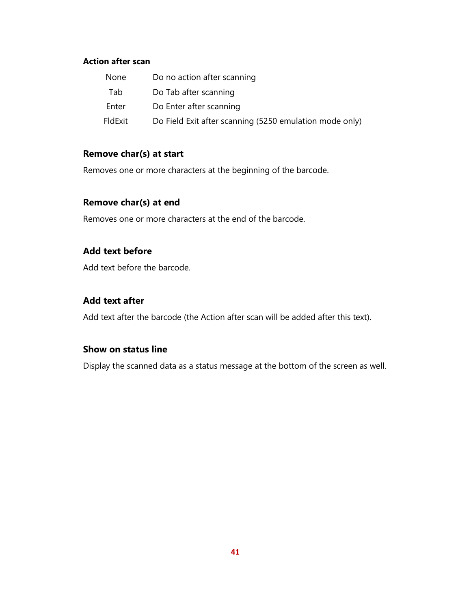#### **Action after scan**

| None    | Do no action after scanning                             |
|---------|---------------------------------------------------------|
| Tab     | Do Tab after scanning                                   |
| Enter   | Do Enter after scanning                                 |
| FldExit | Do Field Exit after scanning (5250 emulation mode only) |

#### **Remove char(s) at start**

Removes one or more characters at the beginning of the barcode.

#### **Remove char(s) at end**

Removes one or more characters at the end of the barcode.

#### **Add text before**

Add text before the barcode.

#### **Add text after**

Add text after the barcode (the Action after scan will be added after this text).

#### **Show on status line**

Display the scanned data as a status message at the bottom of the screen as well.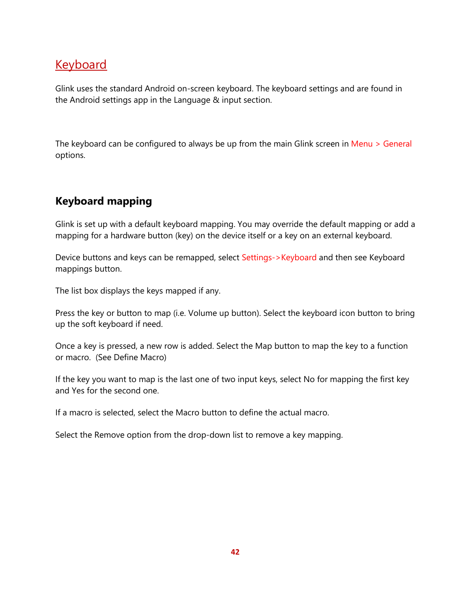## **Keyboard**

Glink uses the standard Android on-screen keyboard. The keyboard settings and are found in the Android settings app in the Language & input section.

The keyboard can be configured to always be up from the main Glink screen in Menu > General options.

## **Keyboard mapping**

Glink is set up with a default keyboard mapping. You may override the default mapping or add a mapping for a hardware button (key) on the device itself or a key on an external keyboard.

Device buttons and keys can be remapped, select Settings->Keyboard and then see Keyboard mappings button.

The list box displays the keys mapped if any.

Press the key or button to map (i.e. Volume up button). Select the keyboard icon button to bring up the soft keyboard if need.

Once a key is pressed, a new row is added. Select the Map button to map the key to a function or macro. (See Define Macro)

If the key you want to map is the last one of two input keys, select No for mapping the first key and Yes for the second one.

If a macro is selected, select the Macro button to define the actual macro.

Select the Remove option from the drop-down list to remove a key mapping.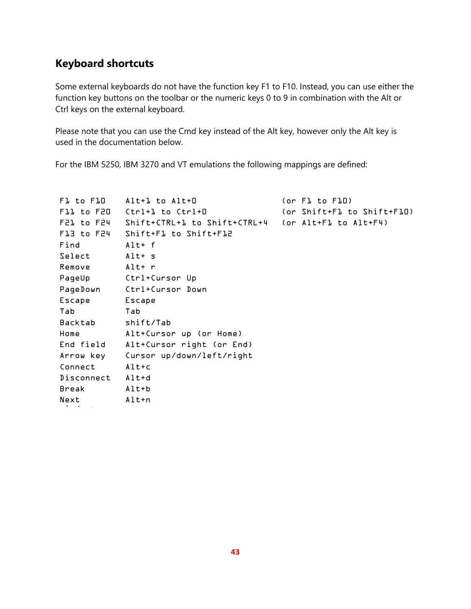### **Keyboard shortcuts**

Some external keyboards do not have the function key F1 to F10. Instead, you can use either the function key buttons on the toolbar or the numeric keys 0 to 9 in combination with the Alt or Ctrl keys on the external keyboard.

Please note that you can use the Cmd key instead of the Alt key, however only the Alt key is used in the documentation below.

For the IBM 5250, IBM 3270 and VT emulations the following mappings are defined:

| Fl to FlO  | Alt+1 to Alt+0                                                | (or F1 to F10)             |
|------------|---------------------------------------------------------------|----------------------------|
| Fll to F2O | Ctrl+1 to Ctrl+0                                              | (or Shift+F1 to Shift+F10) |
|            | F21 to F24 Shift+CTRL+1 to Shift+CTRL+4 (or Alt+F1 to Alt+F4) |                            |
|            | Fl3 to F24 Shift+F1 to Shift+F12                              |                            |
| Find       | $Alt+ f$                                                      |                            |
| Select     | $Alt+ s$                                                      |                            |
| Remove     | $Alt+ r$                                                      |                            |
| PageUp     | Ctrl+Cursor Up                                                |                            |
| PageDown   | Ctrl+Cursor Down                                              |                            |
| Escape     | Escape                                                        |                            |
| Tab        | Tab                                                           |                            |
| Backtab    | shift/Tab                                                     |                            |
| Home       | Alt+Cursor up (or Home)                                       |                            |
| End field  | Alt+Cursor right (or End)                                     |                            |
| Arrow key  | Cursor up/down/left/right                                     |                            |
| Connect    | $Alt+c$                                                       |                            |
| Disconnect | $AIt+d$                                                       |                            |
| Break      | $Alt+b$                                                       |                            |
| Next       | Alt+n                                                         |                            |